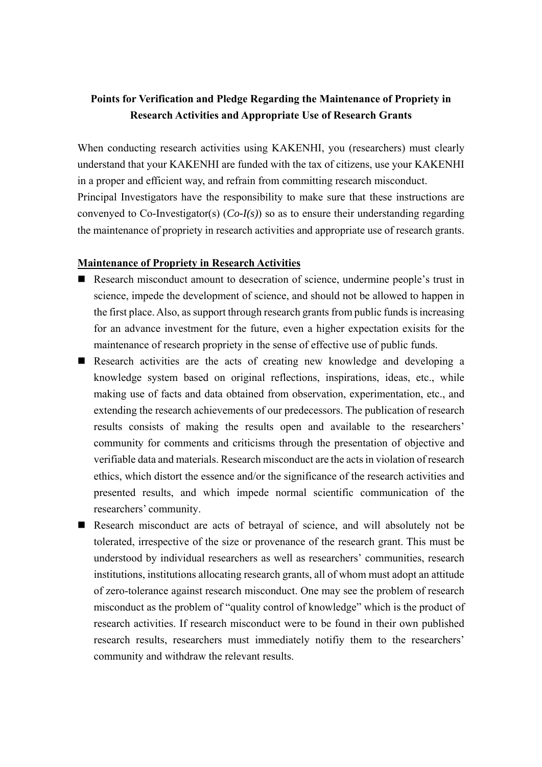# **Points for Verification and Pledge Regarding the Maintenance of Propriety in Research Activities and Appropriate Use of Research Grants**

When conducting research activities using KAKENHI, you (researchers) must clearly understand that your KAKENHI are funded with the tax of citizens, use your KAKENHI in a proper and efficient way, and refrain from committing research misconduct. Principal Investigators have the responsibility to make sure that these instructions are convenyed to Co-Investigator(s) (*Co-I(s)*) so as to ensure their understanding regarding the maintenance of propriety in research activities and appropriate use of research grants.

#### **Maintenance of Propriety in Research Activities**

- Research misconduct amount to desecration of science, undermine people's trust in science, impede the development of science, and should not be allowed to happen in the first place. Also, as support through research grants from public funds is increasing for an advance investment for the future, even a higher expectation exisits for the maintenance of research propriety in the sense of effective use of public funds.
- Research activities are the acts of creating new knowledge and developing a knowledge system based on original reflections, inspirations, ideas, etc., while making use of facts and data obtained from observation, experimentation, etc., and extending the research achievements of our predecessors. The publication of research results consists of making the results open and available to the researchers' community for comments and criticisms through the presentation of objective and verifiable data and materials. Research misconduct are the acts in violation of research ethics, which distort the essence and/or the significance of the research activities and presented results, and which impede normal scientific communication of the researchers' community.
- Research misconduct are acts of betrayal of science, and will absolutely not be tolerated, irrespective of the size or provenance of the research grant. This must be understood by individual researchers as well as researchers' communities, research institutions, institutions allocating research grants, all of whom must adopt an attitude of zero-tolerance against research misconduct. One may see the problem of research misconduct as the problem of "quality control of knowledge" which is the product of research activities. If research misconduct were to be found in their own published research results, researchers must immediately notifiy them to the researchers' community and withdraw the relevant results.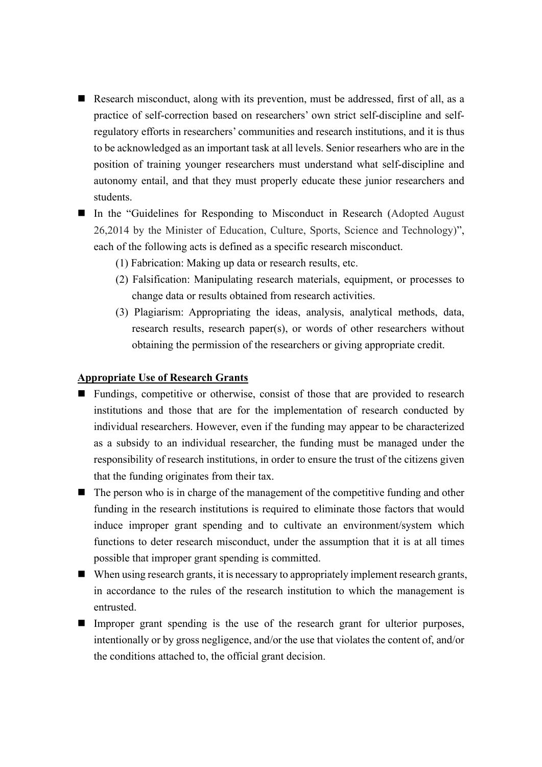- Research misconduct, along with its prevention, must be addressed, first of all, as a practice of self-correction based on researchers' own strict self-discipline and selfregulatory efforts in researchers' communities and research institutions, and it is thus to be acknowledged as an important task at all levels. Senior researhers who are in the position of training younger researchers must understand what self-discipline and autonomy entail, and that they must properly educate these junior researchers and students.
- In the "Guidelines for Responding to Misconduct in Research (Adopted August 26,2014 by the Minister of Education, Culture, Sports, Science and Technology)", each of the following acts is defined as a specific research misconduct.
	- (1) Fabrication: Making up data or research results, etc.
	- (2) Falsification: Manipulating research materials, equipment, or processes to change data or results obtained from research activities.
	- (3) Plagiarism: Appropriating the ideas, analysis, analytical methods, data, research results, research paper(s), or words of other researchers without obtaining the permission of the researchers or giving appropriate credit.

#### **Appropriate Use of Research Grants**

- Fundings, competitive or otherwise, consist of those that are provided to research institutions and those that are for the implementation of research conducted by individual researchers. However, even if the funding may appear to be characterized as a subsidy to an individual researcher, the funding must be managed under the responsibility of research institutions, in order to ensure the trust of the citizens given that the funding originates from their tax.
- $\blacksquare$  The person who is in charge of the management of the competitive funding and other funding in the research institutions is required to eliminate those factors that would induce improper grant spending and to cultivate an environment/system which functions to deter research misconduct, under the assumption that it is at all times possible that improper grant spending is committed.
- $\blacksquare$  When using research grants, it is necessary to appropriately implement research grants, in accordance to the rules of the research institution to which the management is entrusted.
- Improper grant spending is the use of the research grant for ulterior purposes, intentionally or by gross negligence, and/or the use that violates the content of, and/or the conditions attached to, the official grant decision.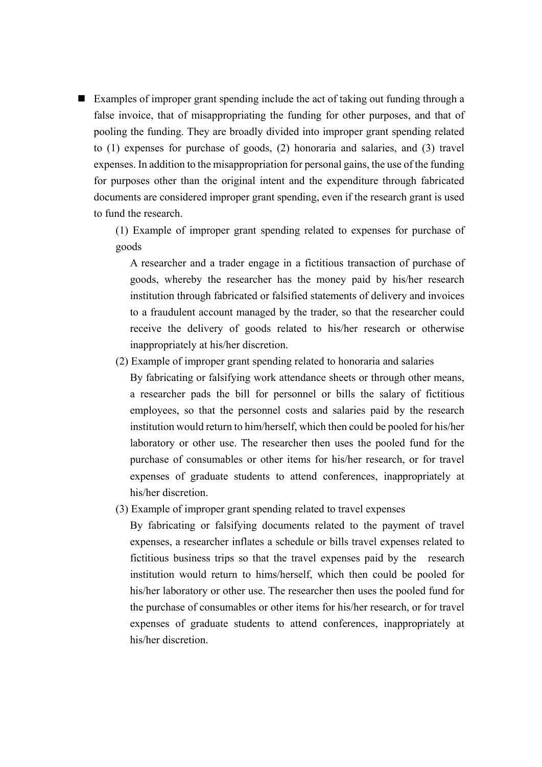■ Examples of improper grant spending include the act of taking out funding through a false invoice, that of misappropriating the funding for other purposes, and that of pooling the funding. They are broadly divided into improper grant spending related to (1) expenses for purchase of goods, (2) honoraria and salaries, and (3) travel expenses. In addition to the misappropriation for personal gains, the use of the funding for purposes other than the original intent and the expenditure through fabricated documents are considered improper grant spending, even if the research grant is used to fund the research.

(1) Example of improper grant spending related to expenses for purchase of goods

A researcher and a trader engage in a fictitious transaction of purchase of goods, whereby the researcher has the money paid by his/her research institution through fabricated or falsified statements of delivery and invoices to a fraudulent account managed by the trader, so that the researcher could receive the delivery of goods related to his/her research or otherwise inappropriately at his/her discretion.

(2) Example of improper grant spending related to honoraria and salaries

By fabricating or falsifying work attendance sheets or through other means, a researcher pads the bill for personnel or bills the salary of fictitious employees, so that the personnel costs and salaries paid by the research institution would return to him/herself, which then could be pooled for his/her laboratory or other use. The researcher then uses the pooled fund for the purchase of consumables or other items for his/her research, or for travel expenses of graduate students to attend conferences, inappropriately at his/her discretion.

(3) Example of improper grant spending related to travel expenses

By fabricating or falsifying documents related to the payment of travel expenses, a researcher inflates a schedule or bills travel expenses related to fictitious business trips so that the travel expenses paid by the research institution would return to hims/herself, which then could be pooled for his/her laboratory or other use. The researcher then uses the pooled fund for the purchase of consumables or other items for his/her research, or for travel expenses of graduate students to attend conferences, inappropriately at his/her discretion.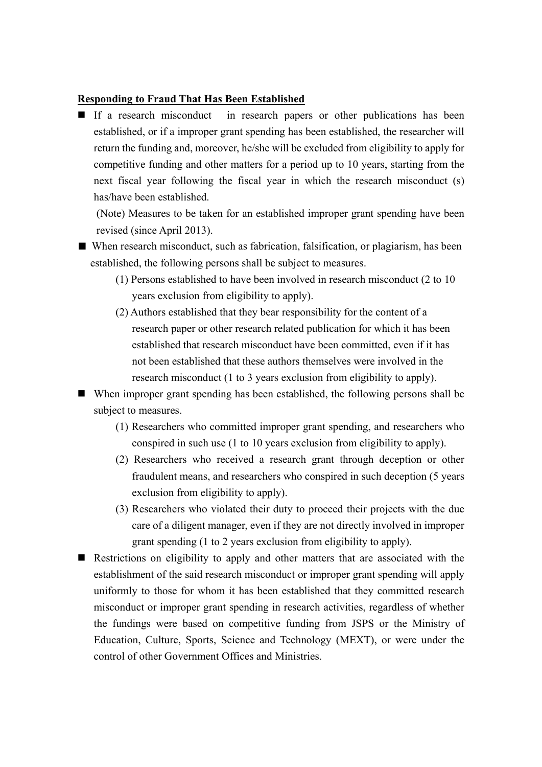### **Responding to Fraud That Has Been Established**

If a research misconduct in research papers or other publications has been established, or if a improper grant spending has been established, the researcher will return the funding and, moreover, he/she will be excluded from eligibility to apply for competitive funding and other matters for a period up to 10 years, starting from the next fiscal year following the fiscal year in which the research misconduct (s) has/have been established.

(Note) Measures to be taken for an established improper grant spending have been revised (since April 2013).

- When research misconduct, such as fabrication, falsification, or plagiarism, has been established, the following persons shall be subject to measures.
	- (1) Persons established to have been involved in research misconduct (2 to 10 years exclusion from eligibility to apply).
	- (2) Authors established that they bear responsibility for the content of a research paper or other research related publication for which it has been established that research misconduct have been committed, even if it has not been established that these authors themselves were involved in the research misconduct (1 to 3 years exclusion from eligibility to apply).

 When improper grant spending has been established, the following persons shall be subject to measures.

- (1) Researchers who committed improper grant spending, and researchers who conspired in such use (1 to 10 years exclusion from eligibility to apply).
- (2) Researchers who received a research grant through deception or other fraudulent means, and researchers who conspired in such deception (5 years exclusion from eligibility to apply).
- (3) Researchers who violated their duty to proceed their projects with the due care of a diligent manager, even if they are not directly involved in improper grant spending (1 to 2 years exclusion from eligibility to apply).
- Restrictions on eligibility to apply and other matters that are associated with the establishment of the said research misconduct or improper grant spending will apply uniformly to those for whom it has been established that they committed research misconduct or improper grant spending in research activities, regardless of whether the fundings were based on competitive funding from JSPS or the Ministry of Education, Culture, Sports, Science and Technology (MEXT), or were under the control of other Government Offices and Ministries.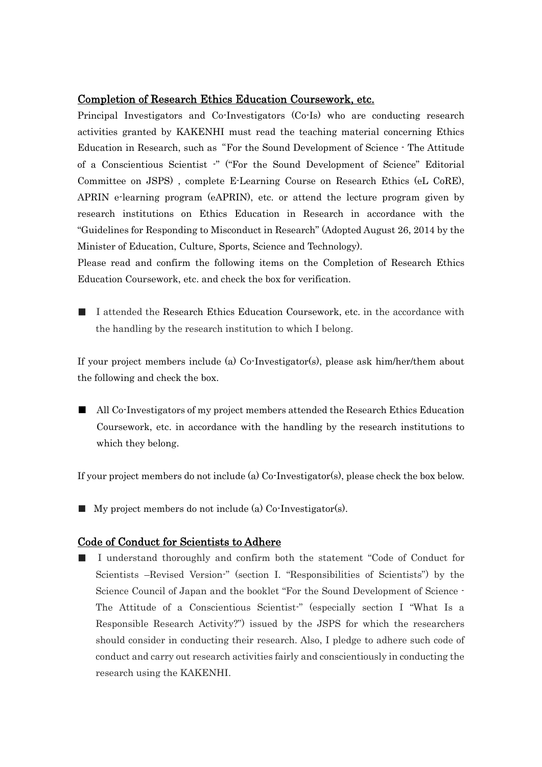#### Completion of Research Ethics Education Coursework, etc.

Principal Investigators and Co-Investigators (Co-Is) who are conducting research activities granted by KAKENHI must read the teaching material concerning Ethics Education in Research, such as"For the Sound Development of Science - The Attitude of a Conscientious Scientist -" ("For the Sound Development of Science" Editorial Committee on JSPS) , complete E-Learning Course on Research Ethics (eL CoRE), APRIN e-learning program (eAPRIN), etc. or attend the lecture program given by research institutions on Ethics Education in Research in accordance with the "Guidelines for Responding to Misconduct in Research" (Adopted August 26, 2014 by the Minister of Education, Culture, Sports, Science and Technology).

Please read and confirm the following items on the Completion of Research Ethics Education Coursework, etc. and check the box for verification.

■ I attended the Research Ethics Education Coursework, etc. in the accordance with the handling by the research institution to which I belong.

If your project members include (a) Co-Investigator(s), please ask him/her/them about the following and check the box.

■ All Co-Investigators of my project members attended the Research Ethics Education Coursework, etc. in accordance with the handling by the research institutions to which they belong.

If your project members do not include (a) Co-Investigator(s), please check the box below.

■ My project members do not include (a) Co-Investigator(s).

## Code of Conduct for Scientists to Adhere

■ I understand thoroughly and confirm both the statement "Code of Conduct for Scientists –Revised Version-" (section I. "Responsibilities of Scientists") by the Science Council of Japan and the booklet "For the Sound Development of Science - The Attitude of a Conscientious Scientist-" (especially section I "What Is a Responsible Research Activity?") issued by the JSPS for which the researchers should consider in conducting their research. Also, I pledge to adhere such code of conduct and carry out research activities fairly and conscientiously in conducting the research using the KAKENHI.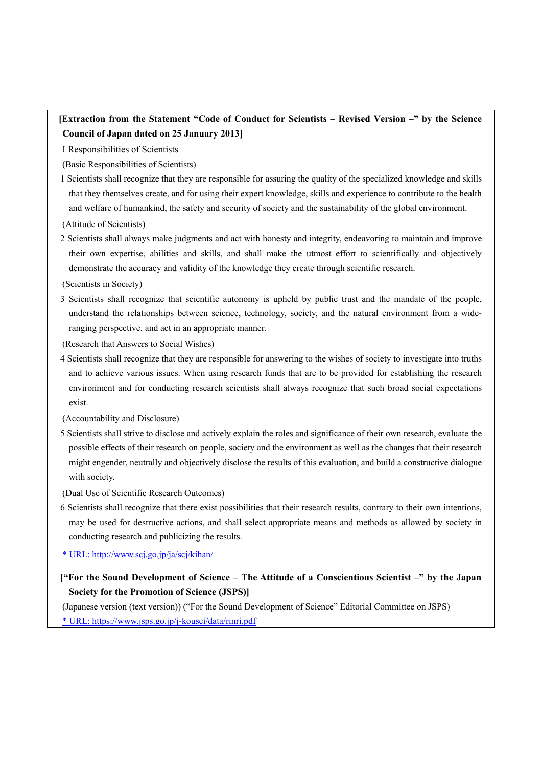# **[Extraction from the Statement "Code of Conduct for Scientists – Revised Version –" by the Science Council of Japan dated on 25 January 2013]**

I Responsibilities of Scientists

(Basic Responsibilities of Scientists)

1 Scientists shall recognize that they are responsible for assuring the quality of the specialized knowledge and skills that they themselves create, and for using their expert knowledge, skills and experience to contribute to the health and welfare of humankind, the safety and security of society and the sustainability of the global environment.

(Attitude of Scientists)

2 Scientists shall always make judgments and act with honesty and integrity, endeavoring to maintain and improve their own expertise, abilities and skills, and shall make the utmost effort to scientifically and objectively demonstrate the accuracy and validity of the knowledge they create through scientific research.

(Scientists in Society)

3 Scientists shall recognize that scientific autonomy is upheld by public trust and the mandate of the people, understand the relationships between science, technology, society, and the natural environment from a wideranging perspective, and act in an appropriate manner.

(Research that Answers to Social Wishes)

4 Scientists shall recognize that they are responsible for answering to the wishes of society to investigate into truths and to achieve various issues. When using research funds that are to be provided for establishing the research environment and for conducting research scientists shall always recognize that such broad social expectations exist.

(Accountability and Disclosure)

5 Scientists shall strive to disclose and actively explain the roles and significance of their own research, evaluate the possible effects of their research on people, society and the environment as well as the changes that their research might engender, neutrally and objectively disclose the results of this evaluation, and build a constructive dialogue with society.

(Dual Use of Scientific Research Outcomes)

6 Scientists shall recognize that there exist possibilities that their research results, contrary to their own intentions, may be used for destructive actions, and shall select appropriate means and methods as allowed by society in conducting research and publicizing the results.

\* URL: http://www.scj.go.jp/ja/scj/kihan/

**["For the Sound Development of Science – The Attitude of a Conscientious Scientist –" by the Japan Society for the Promotion of Science (JSPS)]** 

(Japanese version (text version)) ("For the Sound Development of Science" Editorial Committee on JSPS) \* URL: https://www.jsps.go.jp/j-kousei/data/rinri.pdf